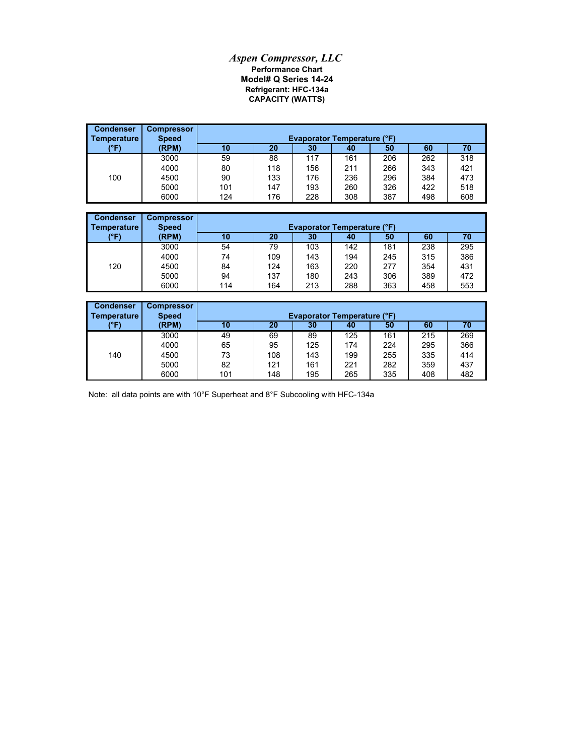## *Aspen Compressor, LLC* **Performance Chart Model# Q Series 14-24 CAPACITY (WATTS) Refrigerant: HFC-134a**

| <b>Condenser</b><br>Temperature | <b>Compressor</b><br><b>Speed</b> | <b>Evaporator Temperature (°F)</b> |     |     |     |     |     |     |  |
|---------------------------------|-----------------------------------|------------------------------------|-----|-----|-----|-----|-----|-----|--|
| (°F)                            | (RPM)                             | 10                                 | 20  | 30  | 40  | 50  | 60  | 70  |  |
|                                 | 3000                              | 59                                 | 88  | 117 | 161 | 206 | 262 | 318 |  |
|                                 | 4000                              | 80                                 | 118 | 156 | 211 | 266 | 343 | 421 |  |
| 100                             | 4500                              | 90                                 | 133 | 176 | 236 | 296 | 384 | 473 |  |
|                                 | 5000                              | 101                                | 147 | 193 | 260 | 326 | 422 | 518 |  |
|                                 | 6000                              | 124                                | 176 | 228 | 308 | 387 | 498 | 608 |  |

| <b>Condenser</b><br>Temperature | <b>Compressor</b><br><b>Speed</b> |     | <b>Evaporator Temperature (°F)</b> |                 |     |     |     |     |  |
|---------------------------------|-----------------------------------|-----|------------------------------------|-----------------|-----|-----|-----|-----|--|
| (°F)                            | (RPM)                             | 10  | 20                                 | 30 <sub>l</sub> | 40  | 50  | 60  |     |  |
|                                 | 3000                              | 54  | 79                                 | 103             | 142 | 181 | 238 | 295 |  |
|                                 | 4000                              | 74  | 109                                | 143             | 194 | 245 | 315 | 386 |  |
| 120                             | 4500                              | 84  | 124                                | 163             | 220 | 277 | 354 | 431 |  |
|                                 | 5000                              | 94  | 137                                | 180             | 243 | 306 | 389 | 472 |  |
|                                 | 6000                              | 114 | 164                                | 213             | 288 | 363 | 458 | 553 |  |

| <b>Condenser</b><br>Temperature | <b>Compressor</b><br><b>Speed</b> |     | <b>Evaporator Temperature (°F)</b> |     |     |     |     |     |  |  |
|---------------------------------|-----------------------------------|-----|------------------------------------|-----|-----|-----|-----|-----|--|--|
| (°F)                            | (RPM)                             | 10  | 20                                 | 30  | 40  | 50  | 60  | 70  |  |  |
|                                 | 3000                              | 49  | 69                                 | 89  | 125 | 161 | 215 | 269 |  |  |
|                                 | 4000                              | 65  | 95                                 | 125 | 174 | 224 | 295 | 366 |  |  |
| 140                             | 4500                              | 73  | 108                                | 143 | 199 | 255 | 335 | 414 |  |  |
|                                 | 5000                              | 82  | 121                                | 161 | 221 | 282 | 359 | 437 |  |  |
|                                 | 6000                              | 101 | 148                                | 195 | 265 | 335 | 408 | 482 |  |  |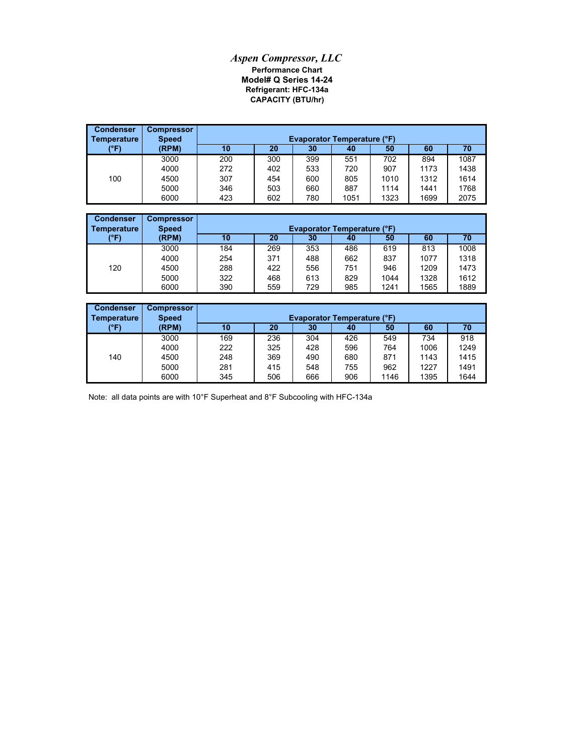## *Aspen Compressor, LLC* **Performance Chart Model# Q Series 14-24 Refrigerant: HFC-134a CAPACITY (BTU/hr)**

| <b>Condenser</b><br>  Temperature | <b>Compressor</b><br><b>Speed</b> |     | <b>Evaporator Temperature (°F)</b> |     |      |      |      |      |  |  |
|-----------------------------------|-----------------------------------|-----|------------------------------------|-----|------|------|------|------|--|--|
| (°F)                              | (RPM)                             | 10  | 20                                 | 30  | 40   | 50   | 60   | 70   |  |  |
|                                   | 3000                              | 200 | 300                                | 399 | 551  | 702  | 894  | 1087 |  |  |
|                                   | 4000                              | 272 | 402                                | 533 | 720  | 907  | 1173 | 1438 |  |  |
| 100                               | 4500                              | 307 | 454                                | 600 | 805  | 1010 | 1312 | 1614 |  |  |
|                                   | 5000                              | 346 | 503                                | 660 | 887  | 1114 | 1441 | 1768 |  |  |
|                                   | 6000                              | 423 | 602                                | 780 | 1051 | 1323 | 1699 | 2075 |  |  |

| <b>Condenser</b><br><b>Temperature</b> | <b>Compressor</b><br><b>Speed</b> | <b>Evaporator Temperature (°F)</b> |     |     |     |      |      |      |  |
|----------------------------------------|-----------------------------------|------------------------------------|-----|-----|-----|------|------|------|--|
| (°F)                                   | (RPM)                             | 10                                 | 20  | 30  | 40  | 50   | 60   | 70   |  |
|                                        | 3000                              | 184                                | 269 | 353 | 486 | 619  | 813  | 1008 |  |
|                                        | 4000                              | 254                                | 371 | 488 | 662 | 837  | 1077 | 1318 |  |
| 120                                    | 4500                              | 288                                | 422 | 556 | 751 | 946  | 1209 | 1473 |  |
|                                        | 5000                              | 322                                | 468 | 613 | 829 | 1044 | 1328 | 1612 |  |
|                                        | 6000                              | 390                                | 559 | 729 | 985 | 1241 | 1565 | 1889 |  |

| <b>Condenser</b><br>Temperature | <b>Compressor</b><br><b>Speed</b> |     | <b>Evaporator Temperature (°F)</b> |     |     |      |      |      |  |  |
|---------------------------------|-----------------------------------|-----|------------------------------------|-----|-----|------|------|------|--|--|
| (°F)                            | (RPM)                             | 10  | 20                                 | 30  | 40  | 50   | 60   | 70   |  |  |
|                                 | 3000                              | 169 | 236                                | 304 | 426 | 549  | 734  | 918  |  |  |
|                                 | 4000                              | 222 | 325                                | 428 | 596 | 764  | 1006 | 1249 |  |  |
| 140                             | 4500                              | 248 | 369                                | 490 | 680 | 871  | 1143 | 1415 |  |  |
|                                 | 5000                              | 281 | 415                                | 548 | 755 | 962  | 1227 | 1491 |  |  |
|                                 | 6000                              | 345 | 506                                | 666 | 906 | 1146 | 1395 | 1644 |  |  |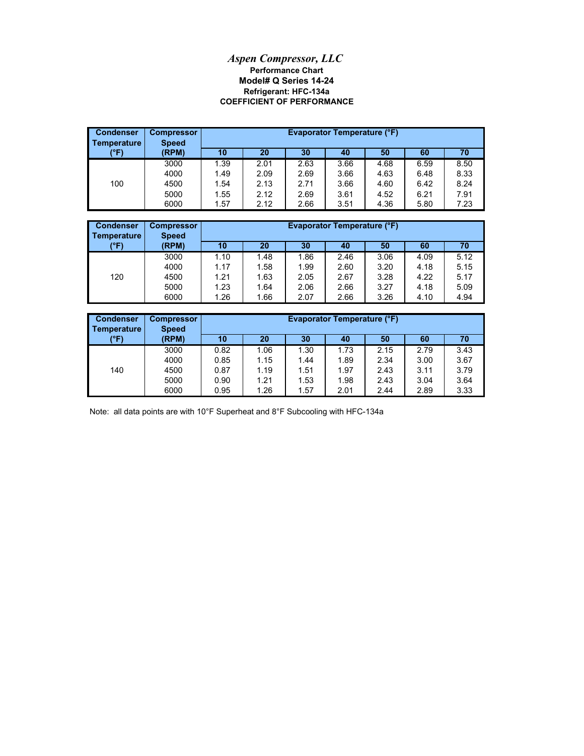## **Model# Q Series 14-24** *Aspen Compressor, LLC* **Performance Chart COEFFICIENT OF PERFORMANCE Refrigerant: HFC-134a**

| <b>Condenser</b><br>Temperature | <b>Compressor</b><br><b>Speed</b> |      | Evaporator Temperature (°F) |      |      |      |      |      |  |
|---------------------------------|-----------------------------------|------|-----------------------------|------|------|------|------|------|--|
| (°F)                            | (RPM)                             | 10   | 20                          | 30   | 40   | 50   | 60   | 70   |  |
|                                 | 3000                              | 1.39 | 2.01                        | 2.63 | 3.66 | 4.68 | 6.59 | 8.50 |  |
|                                 | 4000                              | 1.49 | 2.09                        | 2.69 | 3.66 | 4.63 | 6.48 | 8.33 |  |
| 100                             | 4500                              | 1.54 | 2.13                        | 2.71 | 3.66 | 4.60 | 6.42 | 8.24 |  |
|                                 | 5000                              | 1.55 | 2.12                        | 2.69 | 3.61 | 4.52 | 6.21 | 7.91 |  |
|                                 | 6000                              | 1.57 | 2.12                        | 2.66 | 3.51 | 4.36 | 5.80 | 7.23 |  |

| <b>Condenser</b><br>Temperature | <b>Compressor</b><br><b>Speed</b> |      | <b>Evaporator Temperature (°F)</b> |      |      |      |      |      |  |
|---------------------------------|-----------------------------------|------|------------------------------------|------|------|------|------|------|--|
| (°F)                            | (RPM)                             | 10   | 20                                 | 30   | 40   | 50   | 60   | 70   |  |
|                                 | 3000                              | 1.10 | 1.48                               | 1.86 | 2.46 | 3.06 | 4.09 | 5.12 |  |
|                                 | 4000                              | 1.17 | 1.58                               | 1.99 | 2.60 | 3.20 | 4.18 | 5.15 |  |
| 120                             | 4500                              | 1.21 | 1.63                               | 2.05 | 2.67 | 3.28 | 4.22 | 5.17 |  |
|                                 | 5000                              | 1.23 | 1.64                               | 2.06 | 2.66 | 3.27 | 4.18 | 5.09 |  |
|                                 | 6000                              | 1.26 | 1.66                               | 2.07 | 2.66 | 3.26 | 4.10 | 4.94 |  |

| <b>Condenser</b><br>Temperature | <b>Compressor</b><br><b>Speed</b> | Evaporator Temperature (°F) |      |      |      |      |      |      |
|---------------------------------|-----------------------------------|-----------------------------|------|------|------|------|------|------|
| (°F)                            | (RPM)                             | 10                          | 20   | 30   | 40   | 50   | 60   | 70   |
|                                 | 3000                              | 0.82                        | 1.06 | 1.30 | 1.73 | 2.15 | 2.79 | 3.43 |
|                                 | 4000                              | 0.85                        | 1.15 | 1.44 | 1.89 | 2.34 | 3.00 | 3.67 |
| 140                             | 4500                              | 0.87                        | 1.19 | 1.51 | 1.97 | 2.43 | 3.11 | 3.79 |
|                                 | 5000                              | 0.90                        | 1.21 | 1.53 | 1.98 | 2.43 | 3.04 | 3.64 |
|                                 | 6000                              | 0.95                        | 1.26 | 1.57 | 2.01 | 2.44 | 2.89 | 3.33 |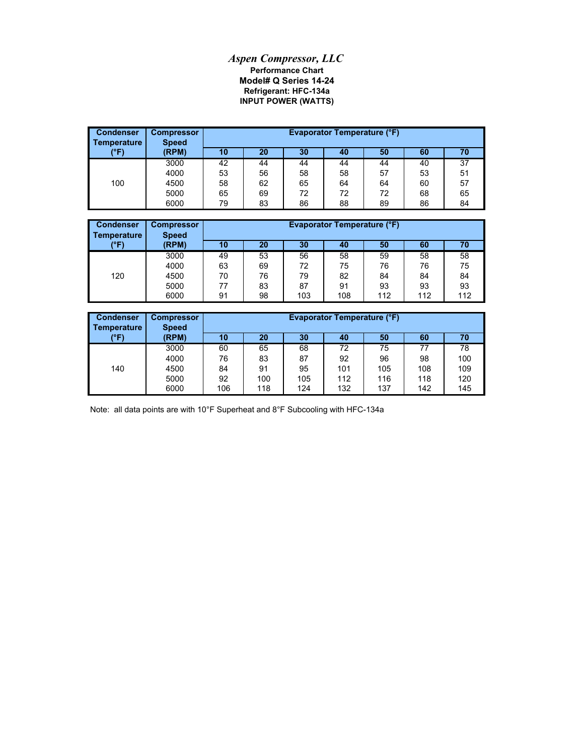## *Aspen Compressor, LLC* **Refrigerant: HFC-134a Model# Q Series 14-24 Performance Chart INPUT POWER (WATTS)**

| <b>Condenser</b><br><b>Temperature</b> | <b>Compressor</b><br><b>Speed</b> |    |    |    | Evaporator Temperature (°F) |    |    |    |
|----------------------------------------|-----------------------------------|----|----|----|-----------------------------|----|----|----|
| (°F)                                   | (RPM)                             | 10 | 20 | 30 | 40                          | 50 | 60 | 70 |
|                                        | 3000                              | 42 | 44 | 44 | 44                          | 44 | 40 | 37 |
|                                        | 4000                              | 53 | 56 | 58 | 58                          | 57 | 53 | 51 |
| 100                                    | 4500                              | 58 | 62 | 65 | 64                          | 64 | 60 | 57 |
|                                        | 5000                              | 65 | 69 | 72 | 72                          | 72 | 68 | 65 |
|                                        | 6000                              | 79 | 83 | 86 | 88                          | 89 | 86 | 84 |

| <b>Condenser</b><br>Temperature | <b>Compressor</b><br><b>Speed</b> | <b>Evaporator Temperature (°F)</b> |    |     |     |     |     |     |
|---------------------------------|-----------------------------------|------------------------------------|----|-----|-----|-----|-----|-----|
| (°F)                            | (RPM)                             | 10                                 | 20 | 30  | 40  | 50  | 60  | 70  |
|                                 | 3000                              | 49                                 | 53 | 56  | 58  | 59  | 58  | 58  |
|                                 | 4000                              | 63                                 | 69 | 72  | 75  | 76  | 76  | 75  |
| 120                             | 4500                              | 70                                 | 76 | 79  | 82  | 84  | 84  | 84  |
|                                 | 5000                              | 77                                 | 83 | 87  | 91  | 93  | 93  | 93  |
|                                 | 6000                              | 91                                 | 98 | 103 | 108 | 112 | 112 | 112 |

| <b>Condenser</b><br>Temperature | <b>Compressor</b><br><b>Speed</b> |     | <b>Evaporator Temperature (°F)</b> |     |     |     |     |     |  |
|---------------------------------|-----------------------------------|-----|------------------------------------|-----|-----|-----|-----|-----|--|
| (°F)                            | (RPM)                             | 10  | 20                                 | 30  | 40  | 50  | 60  | 70  |  |
|                                 | 3000                              | 60  | 65                                 | 68  | 72  | 75  | 77  | 78  |  |
|                                 | 4000                              | 76  | 83                                 | 87  | 92  | 96  | 98  | 100 |  |
| 140                             | 4500                              | 84  | 91                                 | 95  | 101 | 105 | 108 | 109 |  |
|                                 | 5000                              | 92  | 100                                | 105 | 112 | 116 | 118 | 120 |  |
|                                 | 6000                              | 106 | 118                                | 124 | 132 | 137 | 142 | 145 |  |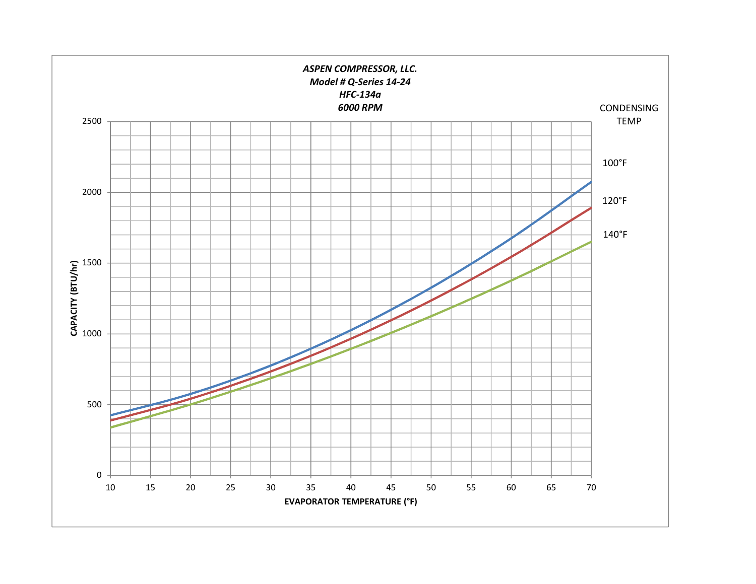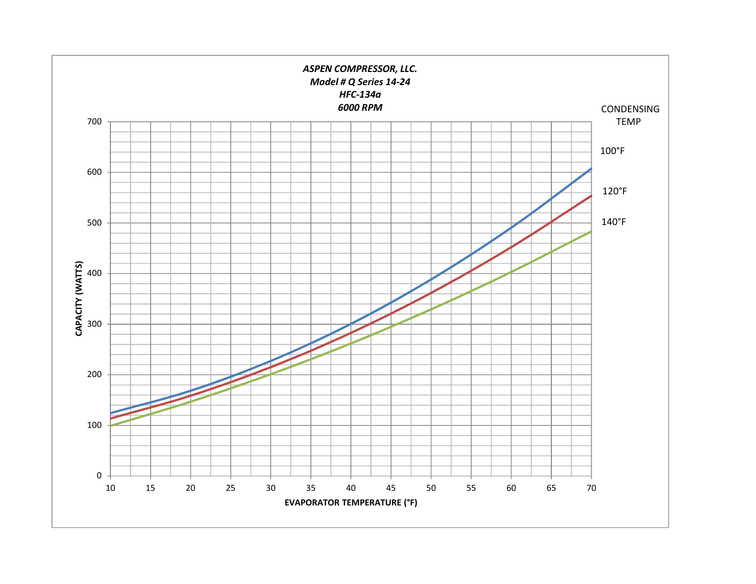